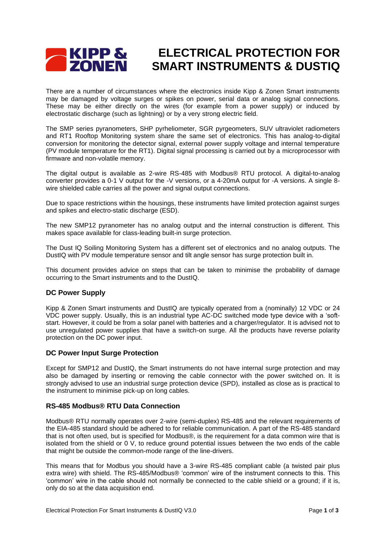# **ELECTRICAL PROTECTION FOR SMART INSTRUMENTS & DUSTIQ**<br>**SMART INSTRUMENTS & DUSTIQ**

There are a number of circumstances where the electronics inside Kipp & Zonen Smart instruments may be damaged by voltage surges or spikes on power, serial data or analog signal connections. These may be either directly on the wires (for example from a power supply) or induced by electrostatic discharge (such as lightning) or by a very strong electric field.

The SMP series pyranometers, SHP pyrheliometer, SGR pyrgeometers, SUV ultraviolet radiometers and RT1 Rooftop Monitoring system share the same set of electronics. This has analog-to-digital conversion for monitoring the detector signal, external power supply voltage and internal temperature (PV module temperature for the RT1). Digital signal processing is carried out by a microprocessor with firmware and non-volatile memory.

The digital output is available as 2-wire RS-485 with Modbus® RTU protocol. A digital-to-analog converter provides a 0-1 V output for the -V versions, or a 4-20mA output for -A versions. A single 8 wire shielded cable carries all the power and signal output connections.

Due to space restrictions within the housings, these instruments have limited protection against surges and spikes and electro-static discharge (ESD).

The new SMP12 pyranometer has no analog output and the internal construction is different. This makes space available for class-leading built-in surge protection.

The Dust IQ Soiling Monitoring System has a different set of electronics and no analog outputs. The DustIQ with PV module temperature sensor and tilt angle sensor has surge protection built in.

This document provides advice on steps that can be taken to minimise the probability of damage occurring to the Smart instruments and to the DustIQ.

### **DC Power Supply**

Kipp & Zonen Smart instruments and DustIQ are typically operated from a (nominally) 12 VDC or 24 VDC power supply. Usually, this is an industrial type AC-DC switched mode type device with a 'softstart. However, it could be from a solar panel with batteries and a charger/regulator. It is advised not to use unregulated power supplies that have a switch-on surge. All the products have reverse polarity protection on the DC power input.

### **DC Power Input Surge Protection**

Except for SMP12 and DustIQ, the Smart instruments do not have internal surge protection and may also be damaged by inserting or removing the cable connector with the power switched on. It is strongly advised to use an industrial surge protection device (SPD), installed as close as is practical to the instrument to minimise pick-up on long cables.

### **RS-485 Modbus® RTU Data Connection**

Modbus® RTU normally operates over 2-wire (semi-duplex) RS-485 and the relevant requirements of the EIA-485 standard should be adhered to for reliable communication. A part of the RS-485 standard that is not often used, but is specified for Modbus®, is the requirement for a data common wire that is isolated from the shield or 0 V, to reduce ground potential issues between the two ends of the cable that might be outside the common-mode range of the line-drivers.

This means that for Modbus you should have a 3-wire RS-485 compliant cable (a twisted pair plus extra wire) with shield. The RS-485/Modbus® 'common' wire of the instrument connects to this. This 'common' wire in the cable should not normally be connected to the cable shield or a ground; if it is, only do so at the data acquisition end.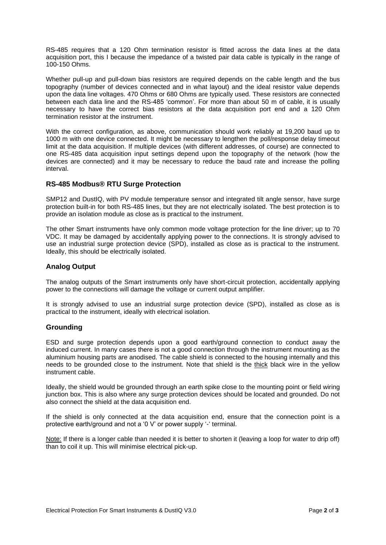RS-485 requires that a 120 Ohm termination resistor is fitted across the data lines at the data acquisition port, this I because the impedance of a twisted pair data cable is typically in the range of 100-150 Ohms.

Whether pull-up and pull-down bias resistors are required depends on the cable length and the bus topography (number of devices connected and in what layout) and the ideal resistor value depends upon the data line voltages. 470 Ohms or 680 Ohms are typically used. These resistors are connected between each data line and the RS-485 'common'. For more than about 50 m of cable, it is usually necessary to have the correct bias resistors at the data acquisition port end and a 120 Ohm termination resistor at the instrument.

With the correct configuration, as above, communication should work reliably at 19,200 baud up to 1000 m with one device connected. It might be necessary to lengthen the poll/response delay timeout limit at the data acquisition. If multiple devices (with different addresses, of course) are connected to one RS-485 data acquisition input settings depend upon the topography of the network (how the devices are connected) and it may be necessary to reduce the baud rate and increase the polling interval.

### **RS-485 Modbus® RTU Surge Protection**

SMP12 and DustIQ, with PV module temperature sensor and integrated tilt angle sensor, have surge protection built-in for both RS-485 lines, but they are not electrically isolated. The best protection is to provide an isolation module as close as is practical to the instrument.

The other Smart instruments have only common mode voltage protection for the line driver; up to 70 VDC. It may be damaged by accidentally applying power to the connections. It is strongly advised to use an industrial surge protection device (SPD), installed as close as is practical to the instrument. Ideally, this should be electrically isolated.

### **Analog Output**

The analog outputs of the Smart instruments only have short-circuit protection, accidentally applying power to the connections will damage the voltage or current output amplifier.

It is strongly advised to use an industrial surge protection device (SPD), installed as close as is practical to the instrument, ideally with electrical isolation.

### **Grounding**

ESD and surge protection depends upon a good earth/ground connection to conduct away the induced current. In many cases there is not a good connection through the instrument mounting as the aluminium housing parts are anodised. The cable shield is connected to the housing internally and this needs to be grounded close to the instrument. Note that shield is the thick black wire in the yellow instrument cable.

Ideally, the shield would be grounded through an earth spike close to the mounting point or field wiring junction box. This is also where any surge protection devices should be located and grounded. Do not also connect the shield at the data acquisition end.

If the shield is only connected at the data acquisition end, ensure that the connection point is a protective earth/ground and not a '0 V' or power supply '-' terminal.

Note: If there is a longer cable than needed it is better to shorten it (leaving a loop for water to drip off) than to coil it up. This will minimise electrical pick-up.